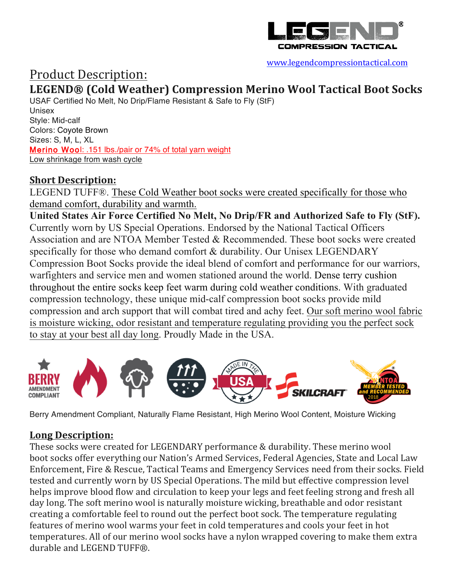

#### www.legendcompressiontactical.com

# Product Description:

## **LEGEND® (Cold Weather) Compression Merino Wool Tactical Boot Socks**

USAF Certified No Melt, No Drip/Flame Resistant & Safe to Fly (StF) Unisex Style: Mid-calf Colors: Coyote Brown Sizes: S, M, L, XL Merino Wool: .151 lbs./pair or 74% of total yarn weight Low shrinkage from wash cycle

### **Short Description:**

LEGEND TUFF®. These Cold Weather boot socks were created specifically for those who demand comfort, durability and warmth.

**United States Air Force Certified No Melt, No Drip/FR and Authorized Safe to Fly (StF).** Currently worn by US Special Operations. Endorsed by the National Tactical Officers Association and are NTOA Member Tested & Recommended. These boot socks were created specifically for those who demand comfort & durability. Our Unisex LEGENDARY Compression Boot Socks provide the ideal blend of comfort and performance for our warriors, warfighters and service men and women stationed around the world. Dense terry cushion throughout the entire socks keep feet warm during cold weather conditions. With graduated compression technology, these unique mid-calf compression boot socks provide mild compression and arch support that will combat tired and achy feet. Our soft merino wool fabric is moisture wicking, odor resistant and temperature regulating providing you the perfect sock to stay at your best all day long. Proudly Made in the USA.



Berry Amendment Compliant, Naturally Flame Resistant, High Merino Wool Content, Moisture Wicking

### **Long Description:**

These socks were created for LEGENDARY performance & durability. These merino wool boot socks offer everything our Nation's Armed Services, Federal Agencies, State and Local Law Enforcement, Fire & Rescue, Tactical Teams and Emergency Services need from their socks. Field tested and currently worn by US Special Operations. The mild but effective compression level helps improve blood flow and circulation to keep your legs and feet feeling strong and fresh all day long. The soft merino wool is naturally moisture wicking, breathable and odor resistant creating a comfortable feel to round out the perfect boot sock. The temperature regulating features of merino wool warms your feet in cold temperatures and cools your feet in hot temperatures. All of our merino wool socks have a nylon wrapped covering to make them extra durable and LEGEND TUFF®.